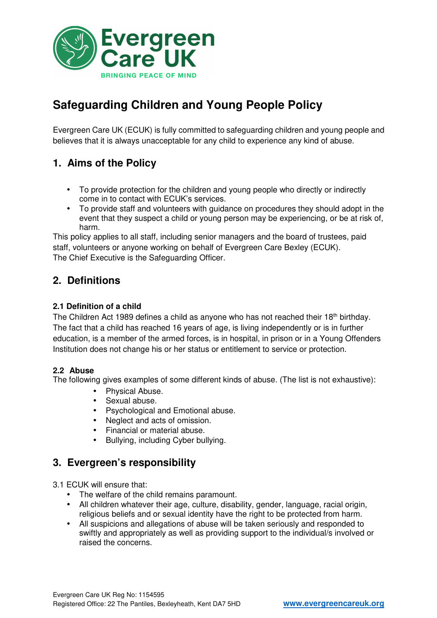

# **Safeguarding Children and Young People Policy**

Evergreen Care UK (ECUK) is fully committed to safeguarding children and young people and believes that it is always unacceptable for any child to experience any kind of abuse.

### **1. Aims of the Policy**

- To provide protection for the children and young people who directly or indirectly come in to contact with ECUK's services.
- To provide staff and volunteers with guidance on procedures they should adopt in the event that they suspect a child or young person may be experiencing, or be at risk of, harm.

This policy applies to all staff, including senior managers and the board of trustees, paid staff, volunteers or anyone working on behalf of Evergreen Care Bexley (ECUK). The Chief Executive is the Safeguarding Officer.

### **2. Definitions**

#### **2.1 Definition of a child**

The Children Act 1989 defines a child as anyone who has not reached their 18<sup>th</sup> birthday. The fact that a child has reached 16 years of age, is living independently or is in further education, is a member of the armed forces, is in hospital, in prison or in a Young Offenders Institution does not change his or her status or entitlement to service or protection.

#### **2.2 Abuse**

The following gives examples of some different kinds of abuse. (The list is not exhaustive):

- Physical Abuse.
- Sexual abuse.
- Psychological and Emotional abuse.
- Neglect and acts of omission.
- Financial or material abuse.
- Bullying, including Cyber bullying.

### **3. Evergreen's responsibility**

3.1 ECUK will ensure that:

- The welfare of the child remains paramount.
- All children whatever their age, culture, disability, gender, language, racial origin, religious beliefs and or sexual identity have the right to be protected from harm.
- All suspicions and allegations of abuse will be taken seriously and responded to swiftly and appropriately as well as providing support to the individual/s involved or raised the concerns.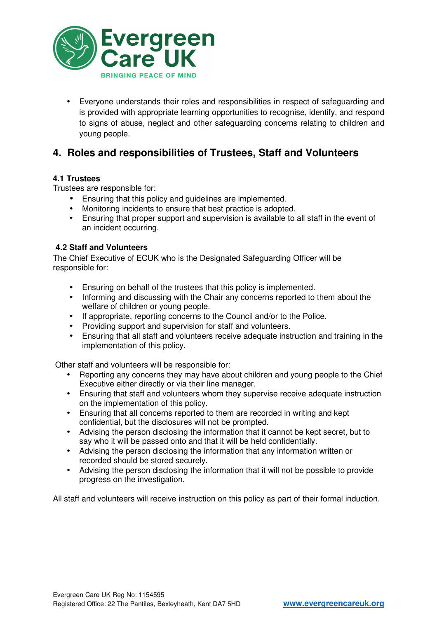

• Everyone understands their roles and responsibilities in respect of safeguarding and is provided with appropriate learning opportunities to recognise, identify, and respond to signs of abuse, neglect and other safeguarding concerns relating to children and young people.

### **4. Roles and responsibilities of Trustees, Staff and Volunteers**

#### **4.1 Trustees**

Trustees are responsible for:

- Ensuring that this policy and guidelines are implemented.
- Monitoring incidents to ensure that best practice is adopted.
- Ensuring that proper support and supervision is available to all staff in the event of an incident occurring.

#### **4.2 Staff and Volunteers**

The Chief Executive of ECUK who is the Designated Safeguarding Officer will be responsible for:

- Ensuring on behalf of the trustees that this policy is implemented.
- Informing and discussing with the Chair any concerns reported to them about the welfare of children or young people.
- If appropriate, reporting concerns to the Council and/or to the Police.
- Providing support and supervision for staff and volunteers.
- Ensuring that all staff and volunteers receive adequate instruction and training in the implementation of this policy.

Other staff and volunteers will be responsible for:

- Reporting any concerns they may have about children and young people to the Chief Executive either directly or via their line manager.
- Ensuring that staff and volunteers whom they supervise receive adequate instruction on the implementation of this policy.
- Ensuring that all concerns reported to them are recorded in writing and kept confidential, but the disclosures will not be prompted.
- Advising the person disclosing the information that it cannot be kept secret, but to say who it will be passed onto and that it will be held confidentially.
- Advising the person disclosing the information that any information written or recorded should be stored securely.
- Advising the person disclosing the information that it will not be possible to provide progress on the investigation.

All staff and volunteers will receive instruction on this policy as part of their formal induction.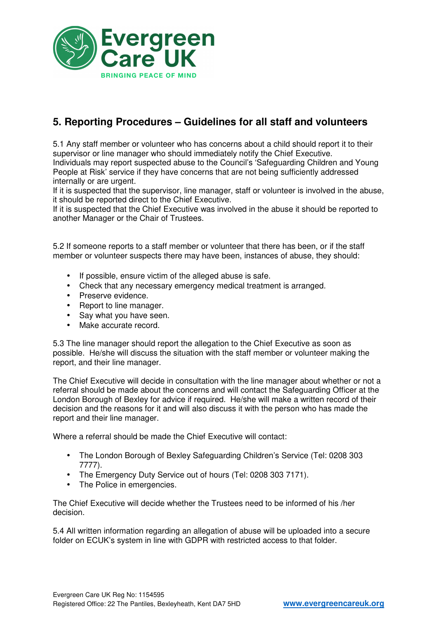

# **5. Reporting Procedures – Guidelines for all staff and volunteers**

5.1 Any staff member or volunteer who has concerns about a child should report it to their supervisor or line manager who should immediately notify the Chief Executive. Individuals may report suspected abuse to the Council's 'Safeguarding Children and Young People at Risk' service if they have concerns that are not being sufficiently addressed internally or are urgent.

If it is suspected that the supervisor, line manager, staff or volunteer is involved in the abuse, it should be reported direct to the Chief Executive.

If it is suspected that the Chief Executive was involved in the abuse it should be reported to another Manager or the Chair of Trustees.

5.2 If someone reports to a staff member or volunteer that there has been, or if the staff member or volunteer suspects there may have been, instances of abuse, they should:

- If possible, ensure victim of the alleged abuse is safe.
- Check that any necessary emergency medical treatment is arranged.
- Preserve evidence.
- Report to line manager.
- Say what you have seen.<br>• Make accurate record
- Make accurate record.

5.3 The line manager should report the allegation to the Chief Executive as soon as possible. He/she will discuss the situation with the staff member or volunteer making the report, and their line manager.

The Chief Executive will decide in consultation with the line manager about whether or not a referral should be made about the concerns and will contact the Safeguarding Officer at the London Borough of Bexley for advice if required. He/she will make a written record of their decision and the reasons for it and will also discuss it with the person who has made the report and their line manager.

Where a referral should be made the Chief Executive will contact:

- The London Borough of Bexley Safeguarding Children's Service (Tel: 0208 303 7777).
- The Emergency Duty Service out of hours (Tel: 0208 303 7171).
- The Police in emergencies.

The Chief Executive will decide whether the Trustees need to be informed of his /her decision.

5.4 All written information regarding an allegation of abuse will be uploaded into a secure folder on ECUK's system in line with GDPR with restricted access to that folder.